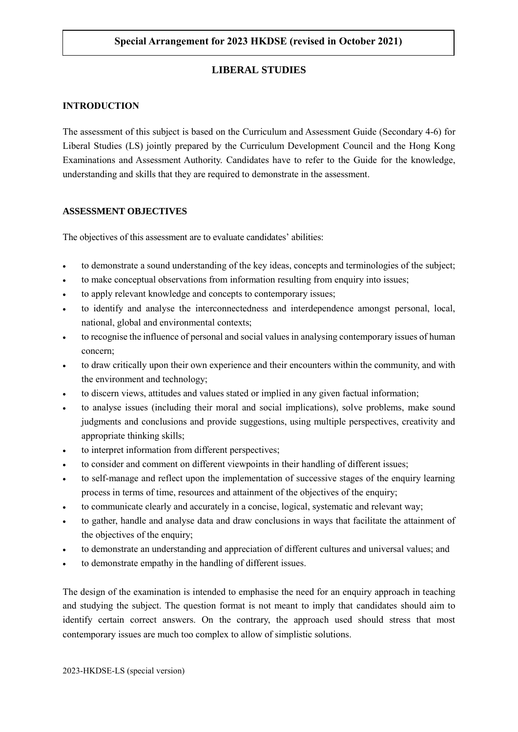# **LIBERAL STUDIES**

## **INTRODUCTION**

The assessment of this subject is based on the Curriculum and Assessment Guide (Secondary 4-6) for Liberal Studies (LS) jointly prepared by the Curriculum Development Council and the Hong Kong Examinations and Assessment Authority. Candidates have to refer to the Guide for the knowledge, understanding and skills that they are required to demonstrate in the assessment.

## **ASSESSMENT OBJECTIVES**

The objectives of this assessment are to evaluate candidates' abilities:

- to demonstrate a sound understanding of the key ideas, concepts and terminologies of the subject;
- to make conceptual observations from information resulting from enquiry into issues;
- to apply relevant knowledge and concepts to contemporary issues;
- to identify and analyse the interconnectedness and interdependence amongst personal, local, national, global and environmental contexts;
- to recognise the influence of personal and social values in analysing contemporary issues of human concern;
- to draw critically upon their own experience and their encounters within the community, and with the environment and technology;
- to discern views, attitudes and values stated or implied in any given factual information;
- to analyse issues (including their moral and social implications), solve problems, make sound judgments and conclusions and provide suggestions, using multiple perspectives, creativity and appropriate thinking skills;
- to interpret information from different perspectives;
- to consider and comment on different viewpoints in their handling of different issues;
- to self-manage and reflect upon the implementation of successive stages of the enquiry learning process in terms of time, resources and attainment of the objectives of the enquiry;
- to communicate clearly and accurately in a concise, logical, systematic and relevant way;
- to gather, handle and analyse data and draw conclusions in ways that facilitate the attainment of the objectives of the enquiry;
- to demonstrate an understanding and appreciation of different cultures and universal values; and
- to demonstrate empathy in the handling of different issues.

The design of the examination is intended to emphasise the need for an enquiry approach in teaching and studying the subject. The question format is not meant to imply that candidates should aim to identify certain correct answers. On the contrary, the approach used should stress that most contemporary issues are much too complex to allow of simplistic solutions.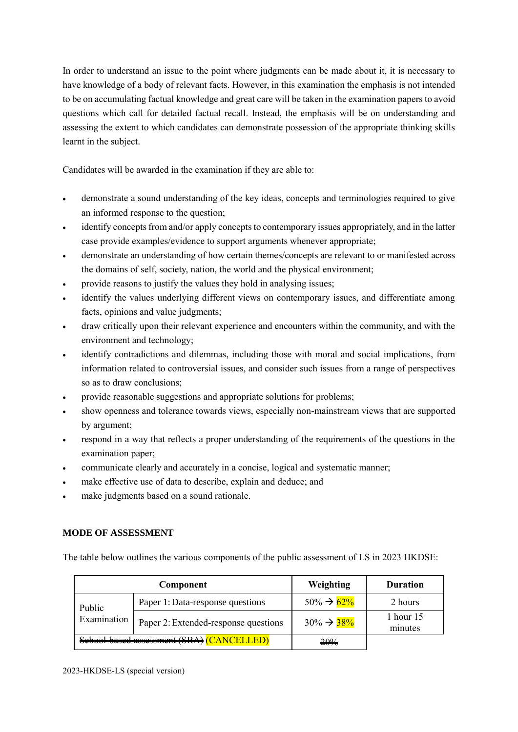In order to understand an issue to the point where judgments can be made about it, it is necessary to have knowledge of a body of relevant facts. However, in this examination the emphasis is not intended to be on accumulating factual knowledge and great care will be taken in the examination papers to avoid questions which call for detailed factual recall. Instead, the emphasis will be on understanding and assessing the extent to which candidates can demonstrate possession of the appropriate thinking skills learnt in the subject.

Candidates will be awarded in the examination if they are able to:

- demonstrate a sound understanding of the key ideas, concepts and terminologies required to give an informed response to the question;
- identify concepts from and/or apply concepts to contemporary issues appropriately, and in the latter case provide examples/evidence to support arguments whenever appropriate;
- demonstrate an understanding of how certain themes/concepts are relevant to or manifested across the domains of self, society, nation, the world and the physical environment;
- provide reasons to justify the values they hold in analysing issues;
- identify the values underlying different views on contemporary issues, and differentiate among facts, opinions and value judgments;
- draw critically upon their relevant experience and encounters within the community, and with the environment and technology;
- identify contradictions and dilemmas, including those with moral and social implications, from information related to controversial issues, and consider such issues from a range of perspectives so as to draw conclusions;
- provide reasonable suggestions and appropriate solutions for problems;
- show openness and tolerance towards views, especially non-mainstream views that are supported by argument;
- respond in a way that reflects a proper understanding of the requirements of the questions in the examination paper;
- communicate clearly and accurately in a concise, logical and systematic manner;
- make effective use of data to describe, explain and deduce; and
- make judgments based on a sound rationale.

## **MODE OF ASSESSMENT**

The table below outlines the various components of the public assessment of LS in 2023 HKDSE:

| Component                                 |                                      | Weighting               | <b>Duration</b>      |
|-------------------------------------------|--------------------------------------|-------------------------|----------------------|
| Public<br>Examination                     | Paper 1: Data-response questions     | $50\% \rightarrow 62\%$ | 2 hours              |
|                                           | Paper 2: Extended-response questions | $30\% \rightarrow 38\%$ | 1 hour 15<br>minutes |
| School-based assessment (SBA) (CANCELLED) |                                      | 20 <sub>%</sub>         |                      |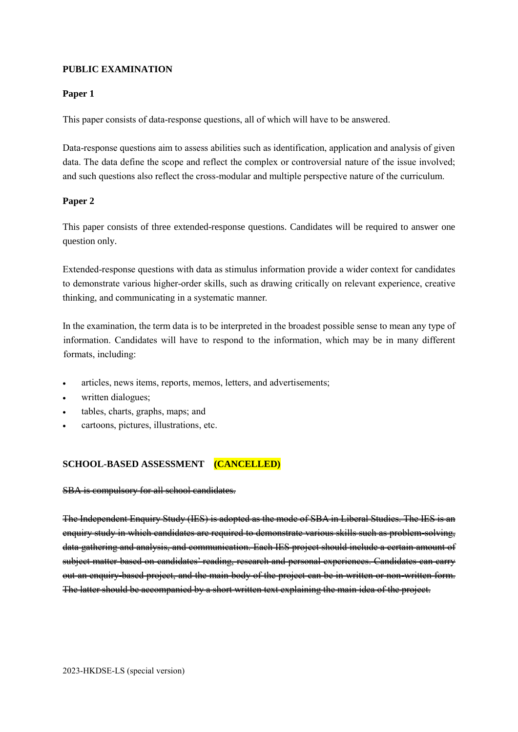## **PUBLIC EXAMINATION**

#### **Paper 1**

This paper consists of data-response questions, all of which will have to be answered.

Data-response questions aim to assess abilities such as identification, application and analysis of given data. The data define the scope and reflect the complex or controversial nature of the issue involved; and such questions also reflect the cross-modular and multiple perspective nature of the curriculum.

## **Paper 2**

This paper consists of three extended-response questions. Candidates will be required to answer one question only.

Extended-response questions with data as stimulus information provide a wider context for candidates to demonstrate various higher-order skills, such as drawing critically on relevant experience, creative thinking, and communicating in a systematic manner.

In the examination, the term data is to be interpreted in the broadest possible sense to mean any type of information. Candidates will have to respond to the information, which may be in many different formats, including:

- articles, news items, reports, memos, letters, and advertisements;
- written dialogues;
- tables, charts, graphs, maps; and
- cartoons, pictures, illustrations, etc.

## **SCHOOL-BASED ASSESSMENT (CANCELLED)**

#### SBA is compulsory for all school candidates.

The Independent Enquiry Study (IES) is adopted as the mode of SBA in Liberal Studies. The IES is an enquiry study in which candidates are required to demonstrate various skills such as problem-solving, data gathering and analysis, and communication. Each IES project should include a certain amount of subject matter based on candidates' reading, research and personal experiences. Candidates can carry out an enquiry-based project, and the main body of the project can be in written or non-written form. The latter should be accompanied by a short written text explaining the main idea of the project.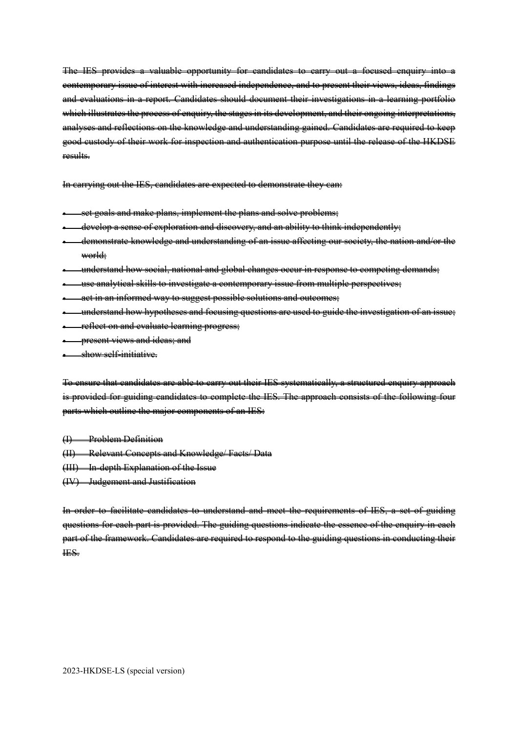The IES provides a valuable opportunity for candidates to carry out a focused enquiry into a contemporary issue of interest with increased independence, and to present their views, ideas, findings and evaluations in a report. Candidates should document their investigations in a learning portfolio which illustrates the process of enquiry, the stages in its development, and their ongoing interpretations, analyses and reflections on the knowledge and understanding gained. Candidates are required to keep good custody of their work for inspection and authentication purpose until the release of the HKDSE results.

In carrying out the IES, candidates are expected to demonstrate they can:

- set goals and make plans, implement the plans and solve problems;
- develop a sense of exploration and discovery, and an ability to think independently;
- demonstrate knowledge and understanding of an issue affecting our society, the nation and/or the world;
- understand how social, national and global changes occur in response to competing demands;
- use analytical skills to investigate a contemporary issue from multiple perspectives;
- act in an informed way to suggest possible solutions and outcomes;
- understand how hypotheses and focusing questions are used to guide the investigation of an issue;
- reflect on and evaluate learning progress;
- present views and ideas; and

• show self-initiative.

To ensure that candidates are able to carry out their IES systematically, a structured enquiry approach is provided for guiding candidates to complete the IES. The approach consists of the following four parts which outline the major components of an IES:

(I) Problem Definition

- (II) Relevant Concepts and Knowledge/ Facts/ Data
- (III) In-depth Explanation of the Issue
- (IV) Judgement and Justification

In order to facilitate candidates to understand and meet the requirements of IES, a set of guiding questions for each part is provided. The guiding questions indicate the essence of the enquiry in each part of the framework. Candidates are required to respond to the guiding questions in conducting their IES.